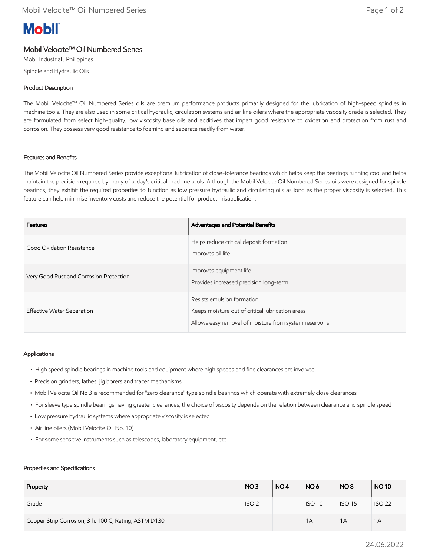# **Mobil**

# Mobil Velocite™ Oil Numbered Series

Mobil Industrial , Philippines Spindle and Hydraulic Oils

## Product Description

The Mobil Velocite™ Oil Numbered Series oils are premium performance products primarily designed for the lubrication of high-speed spindles in machine tools. They are also used in some critical hydraulic, circulation systems and air line oilers where the appropriate viscosity grade is selected. They are formulated from select high-quality, low viscosity base oils and additives that impart good resistance to oxidation and protection from rust and corrosion. They possess very good resistance to foaming and separate readily from water.

### Features and Benefits

The Mobil Velocite Oil Numbered Series provide exceptional lubrication of close-tolerance bearings which helps keep the bearings running cool and helps maintain the precision required by many of today's critical machine tools. Although the Mobil Velocite Oil Numbered Series oils were designed for spindle bearings, they exhibit the required properties to function as low pressure hydraulic and circulating oils as long as the proper viscosity is selected. This feature can help minimise inventory costs and reduce the potential for product misapplication.

| <b>Features</b>                         | Advantages and Potential Benefits                                                                                                        |
|-----------------------------------------|------------------------------------------------------------------------------------------------------------------------------------------|
| Good Oxidation Resistance               | Helps reduce critical deposit formation<br>Improves oil life                                                                             |
| Very Good Rust and Corrosion Protection | Improves equipment life<br>Provides increased precision long-term                                                                        |
| Effective Water Separation              | Resists emulsion formation<br>Keeps moisture out of critical lubrication areas<br>Allows easy removal of moisture from system reservoirs |

### Applications

- High speed spindle bearings in machine tools and equipment where high speeds and fine clearances are involved
- Precision grinders, lathes, jig borers and tracer mechanisms
- Mobil Velocite Oil No 3 is recommended for "zero clearance" type spindle bearings which operate with extremely close clearances
- For sleeve type spindle bearings having greater clearances, the choice of viscosity depends on the relation between clearance and spindle speed
- Low pressure hydraulic systems where appropriate viscosity is selected
- Air line oilers (Mobil Velocite Oil No. 10)
- For some sensitive instruments such as telescopes, laboratory equipment, etc.

#### Properties and Specifications

| Property                                              | NO <sub>3</sub>  | NO <sub>4</sub> | NO <sub>6</sub> | NO <sub>8</sub> | <b>NO10</b>   |
|-------------------------------------------------------|------------------|-----------------|-----------------|-----------------|---------------|
| Grade                                                 | ISO <sub>2</sub> |                 | <b>ISO 10</b>   | <b>ISO 15</b>   | <b>ISO 22</b> |
| Copper Strip Corrosion, 3 h, 100 C, Rating, ASTM D130 |                  |                 | 1A              | 1A              | 1A            |